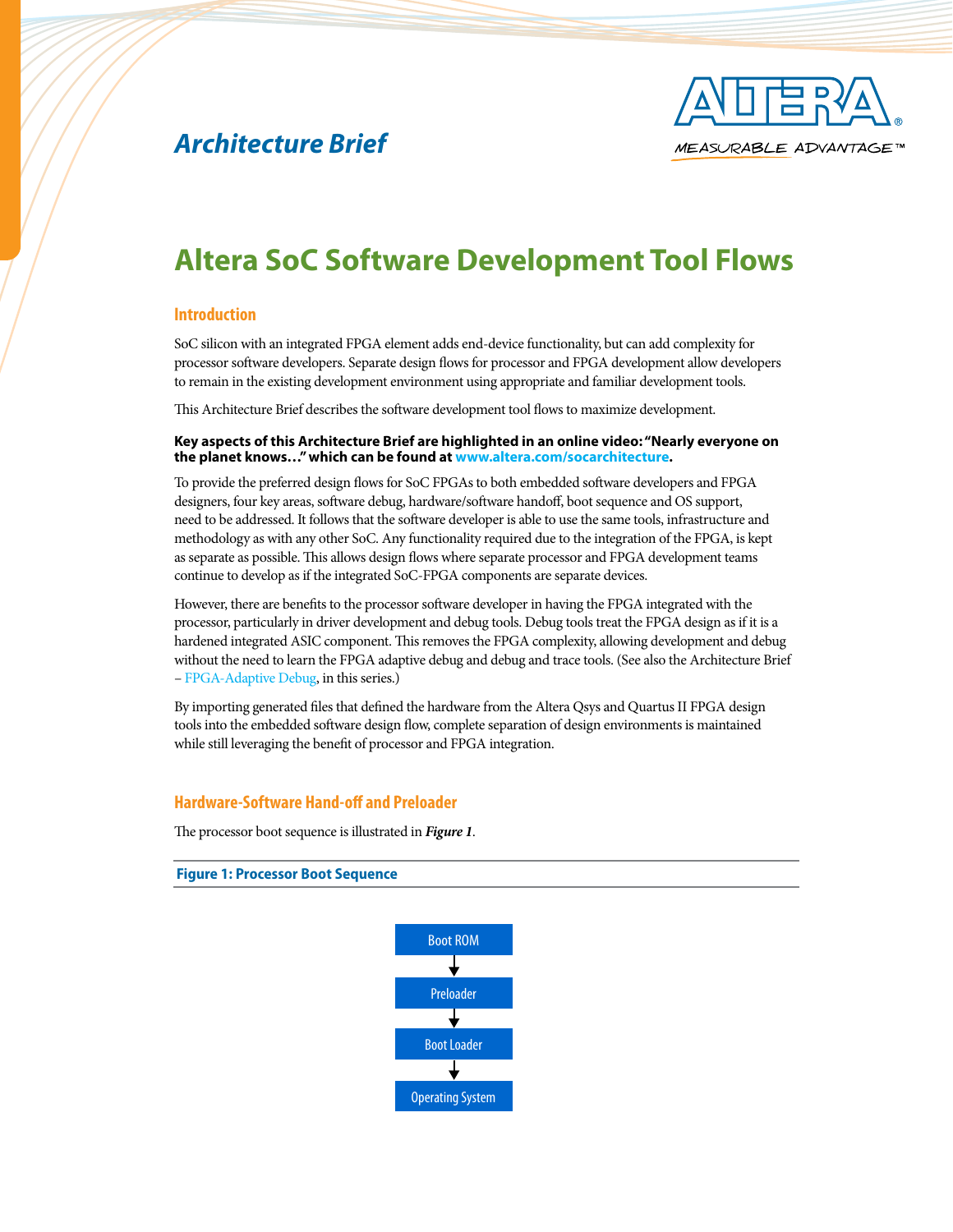# *Architecture Brief*



# **Altera SoC Software Development Tool Flows**

## **Introduction**

SoC silicon with an integrated FPGA element adds end-device functionality, but can add complexity for processor software developers. Separate design flows for processor and FPGA development allow developers to remain in the existing development environment using appropriate and familiar development tools.

This Architecture Brief describes the software development tool flows to maximize development.

#### **Key aspects of this Architecture Brief are highlighted in an online video: "Nearly everyone on the planet knows…" which can be found at [www.altera.com/socarchitecture.](http://www.altera.com/socarchitecture)**

To provide the preferred design flows for SoC FPGAs to both embedded software developers and FPGA designers, four key areas, software debug, hardware/software handoff, boot sequence and OS support, need to be addressed. It follows that the software developer is able to use the same tools, infrastructure and methodology as with any other SoC. Any functionality required due to the integration of the FPGA, is kept as separate as possible. This allows design flows where separate processor and FPGA development teams continue to develop as if the integrated SoC-FPGA components are separate devices.

However, there are benefits to the processor software developer in having the FPGA integrated with the processor, particularly in driver development and debug tools. Debug tools treat the FPGA design as if it is a hardened integrated ASIC component. This removes the FPGA complexity, allowing development and debug without the need to learn the FPGA adaptive debug and debug and trace tools. (See also the Architecture Brief – [FPGA-Adaptive Debug](http://www.altera.com/literature/ab/ab20_soc_fpga.pdf), in this series.)

By importing generated files that defined the hardware from the Altera Qsys and Quartus II FPGA design tools into the embedded software design flow, complete separation of design environments is maintained while still leveraging the benefit of processor and FPGA integration.

### **Hardware-Software Hand-off and Preloader**

The processor boot sequence is illustrated in *Figure 1*.

**Figure 1: Processor Boot Sequence**

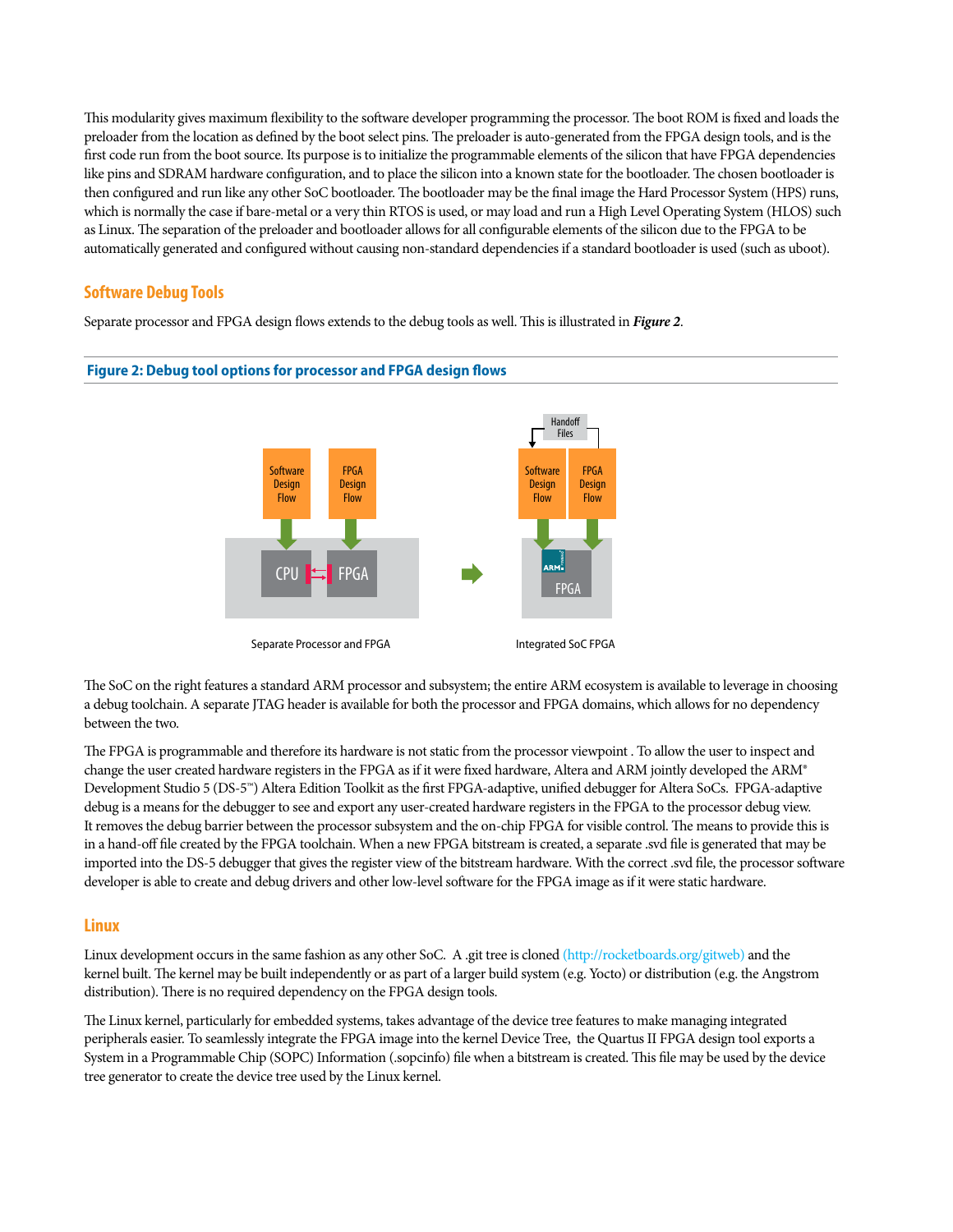This modularity gives maximum flexibility to the software developer programming the processor. The boot ROM is fixed and loads the preloader from the location as defined by the boot select pins. The preloader is auto-generated from the FPGA design tools, and is the first code run from the boot source. Its purpose is to initialize the programmable elements of the silicon that have FPGA dependencies like pins and SDRAM hardware configuration, and to place the silicon into a known state for the bootloader. The chosen bootloader is then configured and run like any other SoC bootloader. The bootloader may be the final image the Hard Processor System (HPS) runs, which is normally the case if bare-metal or a very thin RTOS is used, or may load and run a High Level Operating System (HLOS) such as Linux. The separation of the preloader and bootloader allows for all configurable elements of the silicon due to the FPGA to be automatically generated and configured without causing non-standard dependencies if a standard bootloader is used (such as uboot).

## **Software Debug Tools**

Separate processor and FPGA design flows extends to the debug tools as well. This is illustrated in *Figure 2*.



#### **Figure 2: Debug tool options for processor and FPGA design flows**

The SoC on the right features a standard ARM processor and subsystem; the entire ARM ecosystem is available to leverage in choosing a debug toolchain. A separate JTAG header is available for both the processor and FPGA domains, which allows for no dependency between the two.

The FPGA is programmable and therefore its hardware is not static from the processor viewpoint . To allow the user to inspect and change the user created hardware registers in the FPGA as if it were fixed hardware, Altera and ARM jointly developed the ARM® Development Studio 5 (DS-5™) Altera Edition Toolkit as the first FPGA-adaptive, unified debugger for Altera SoCs. FPGA-adaptive debug is a means for the debugger to see and export any user-created hardware registers in the FPGA to the processor debug view. It removes the debug barrier between the processor subsystem and the on-chip FPGA for visible control. The means to provide this is in a hand-off file created by the FPGA toolchain. When a new FPGA bitstream is created, a separate .svd file is generated that may be imported into the DS-5 debugger that gives the register view of the bitstream hardware. With the correct .svd file, the processor software developer is able to create and debug drivers and other low-level software for the FPGA image as if it were static hardware.

### **Linux**

Linux development occurs in the same fashion as any other SoC. A .git tree is cloned ([http://rocketboards.org/gitweb\)](http://rocketboards.org/gitweb) and the kernel built. The kernel may be built independently or as part of a larger build system (e.g. Yocto) or distribution (e.g. the Angstrom distribution). There is no required dependency on the FPGA design tools.

The Linux kernel, particularly for embedded systems, takes advantage of the device tree features to make managing integrated peripherals easier. To seamlessly integrate the FPGA image into the kernel Device Tree, the Quartus II FPGA design tool exports a System in a Programmable Chip (SOPC) Information (.sopcinfo) file when a bitstream is created. This file may be used by the device tree generator to create the device tree used by the Linux kernel.